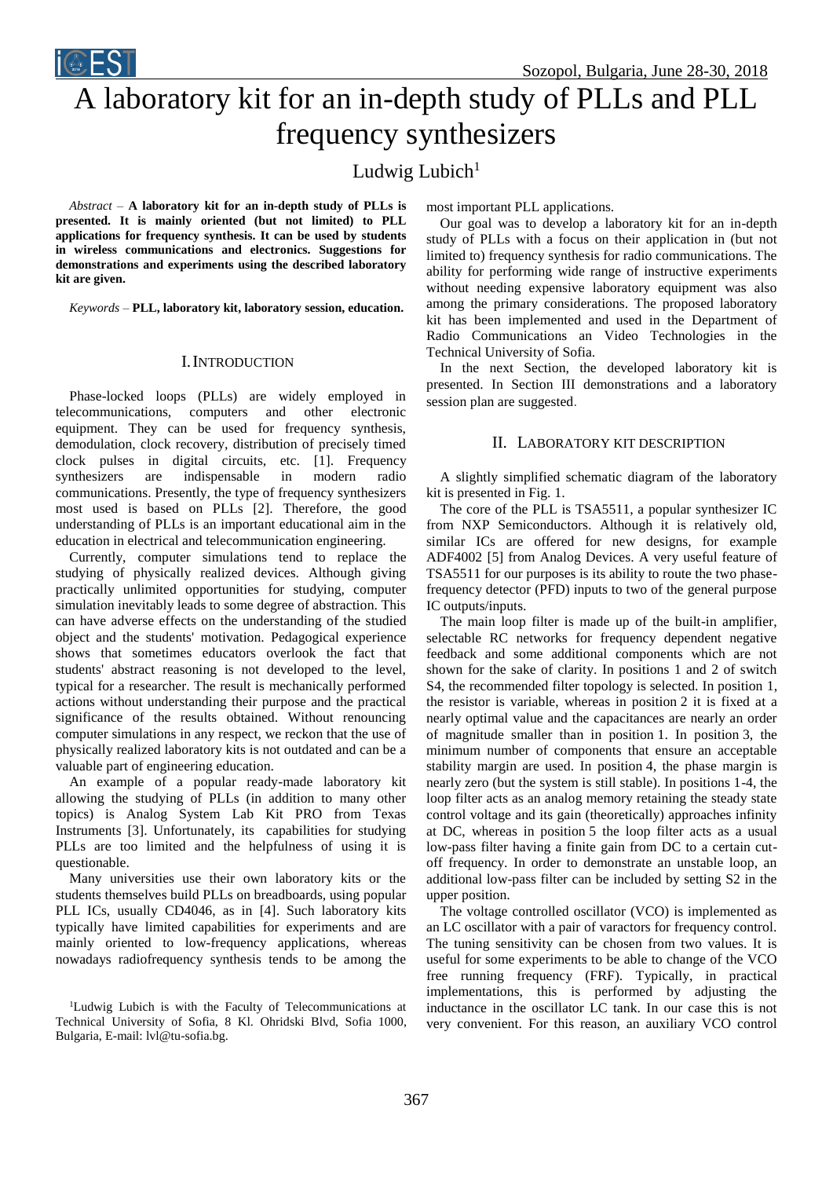# A laboratory kit for an in-depth study of PLLs and PLL frequency synthesizers

Ludwig Lubich $1$ 

*Abstract –* **A laboratory kit for an in-depth study of PLLs is presented. It is mainly oriented (but not limited) to PLL applications for frequency synthesis. It can be used by students in wireless communications and electronics. Suggestions for demonstrations and experiments using the described laboratory kit are given.**

*Keywords –* **PLL, laboratory kit, laboratory session, education.**

## I.INTRODUCTION

Phase-locked loops (PLLs) are widely employed in telecommunications, computers and other electronic equipment. They can be used for frequency synthesis, demodulation, clock recovery, distribution of precisely timed clock pulses in digital circuits, etc. [\[1\].](#page-3-2) Frequency synthesizers are indispensable in modern radio communications. Presently, the type of frequency synthesizers most used is based on PLLs [\[2\].](#page-3-1) Therefore, the good understanding of PLLs is an important educational aim in the education in electrical and telecommunication engineering.

Currently, computer simulations tend to replace the studying of physically realized devices. Although giving practically unlimited opportunities for studying, computer simulation inevitably leads to some degree of abstraction. This can have adverse effects on the understanding of the studied object and the students' motivation. Pedagogical experience shows that sometimes educators overlook the fact that students' abstract reasoning is not developed to the level, typical for a researcher. The result is mechanically performed actions without understanding their purpose and the practical significance of the results obtained. Without renouncing computer simulations in any respect, we reckon that the use of physically realized laboratory kits is not outdated and can be a valuable part of engineering education.

An example of a popular ready-made laboratory kit allowing the studying of PLLs (in addition to many other topics) is Analog System Lab Kit PRO from Texas Instruments [\[3\].](#page-3-3) Unfortunately, its capabilities for studying PLLs are too limited and the helpfulness of using it is questionable.

Many universities use their own laboratory kits or the students themselves build PLLs on breadboards, using popular PLL ICs, usually CD4046, as in [\[4\].](#page-3-0) Such laboratory kits typically have limited capabilities for experiments and are mainly oriented to low-frequency applications, whereas nowadays radiofrequency synthesis tends to be among the most important PLL applications.

Our goal was to develop a laboratory kit for an in-depth study of PLLs with a focus on their application in (but not limited to) frequency synthesis for radio communications. The ability for performing wide range of instructive experiments without needing expensive laboratory equipment was also among the primary considerations. The proposed laboratory kit has been implemented and used in the Department of Radio Communications an Video Technologies in the Technical University of Sofia.

In the next Section, the developed laboratory kit is presented. In Section III demonstrations and a laboratory session plan are suggested.

## II. LABORATORY KIT DESCRIPTION

A slightly simplified schematic diagram of the laboratory kit is presented in Fig. 1.

The core of the PLL is TSA5511, a popular synthesizer IC from NXP Semiconductors. Although it is relatively old, similar ICs are offered for new designs, for example ADF4002 [\[5\]](#page-3-4) from Analog Devices. A very useful feature of TSA5511 for our purposes is its ability to route the two phasefrequency detector (PFD) inputs to two of the general purpose IC outputs/inputs.

The main loop filter is made up of the built-in amplifier, selectable RC networks for frequency dependent negative feedback and some additional components which are not shown for the sake of clarity. In positions 1 and 2 of switch S4, the recommended filter topology is selected. In position 1, the resistor is variable, whereas in position 2 it is fixed at a nearly optimal value and the capacitances are nearly an order of magnitude smaller than in position 1. In position 3, the minimum number of components that ensure an acceptable stability margin are used. In position 4, the phase margin is nearly zero (but the system is still stable). In positions 1-4, the loop filter acts as an analog memory retaining the steady state control voltage and its gain (theoretically) approaches infinity at DC, whereas in position 5 the loop filter acts as a usual low-pass filter having a finite gain from DC to a certain cutoff frequency. In order to demonstrate an unstable loop, an additional low-pass filter can be included by setting S2 in the upper position.

The voltage controlled oscillator (VCO) is implemented as an LC oscillator with a pair of varactors for frequency control. The tuning sensitivity can be chosen from two values. It is useful for some experiments to be able to change of the VCO free running frequency (FRF). Typically, in practical implementations, this is performed by adjusting the inductance in the oscillator LC tank. In our case this is not very convenient. For this reason, an auxiliary VCO control

<sup>&</sup>lt;sup>1</sup>Ludwig Lubich is with the Faculty of Telecommunications at Technical University of Sofia, 8 Kl. Ohridski Blvd, Sofia 1000, Bulgaria, E-mail: lvl@tu-sofia.bg.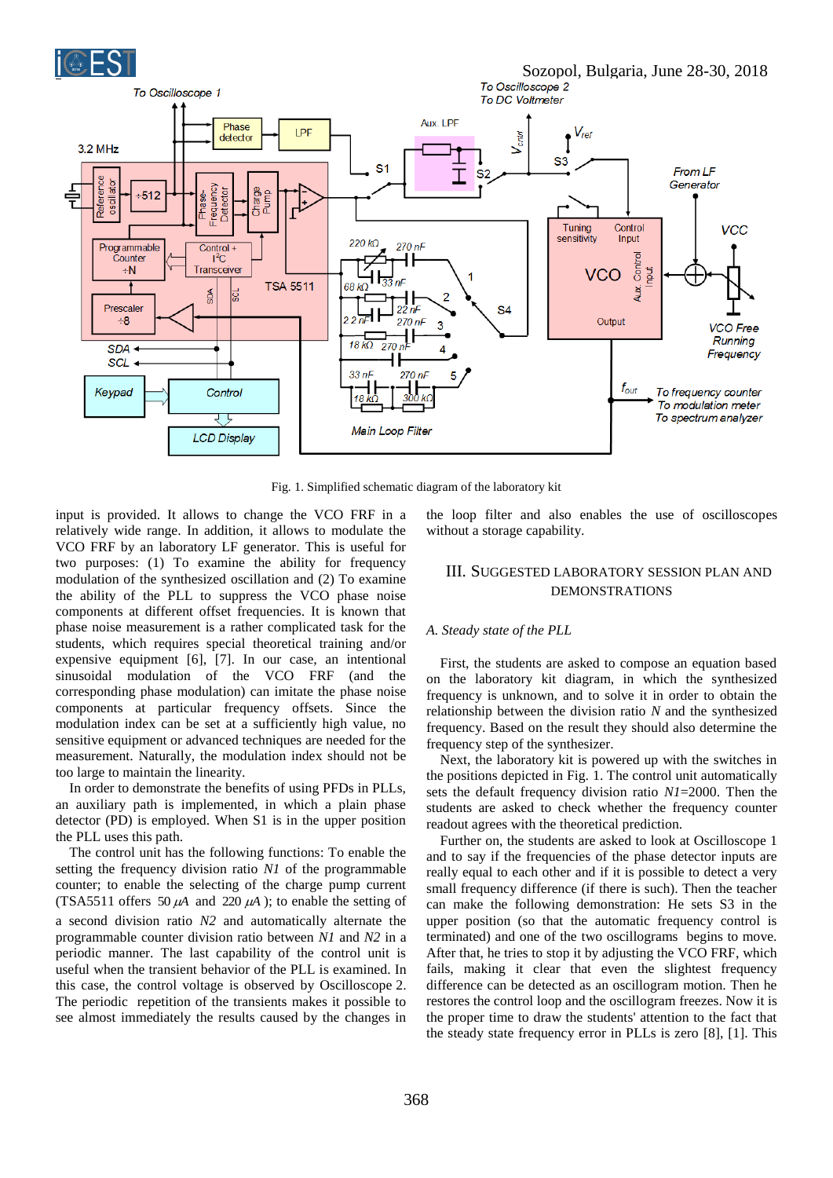

Fig. 1. Simplified schematic diagram of the laboratory kit

input is provided. It allows to change the VCO FRF in a relatively wide range. In addition, it allows to modulate the VCO FRF by an laboratory LF generator. This is useful for two purposes: (1) To examine the ability for frequency modulation of the synthesized oscillation and (2) To examine the ability of the PLL to suppress the VCO phase noise components at different offset frequencies. It is known that phase noise measurement is a rather complicated task for the students, which requires special theoretical training and/or expensive equipment [\[6\],](#page-3-6) [\[7\].](#page-3-5) In our case, an intentional sinusoidal modulation of the VCO FRF (and the corresponding phase modulation) can imitate the phase noise components at particular frequency offsets. Since the modulation index can be set at a sufficiently high value, no sensitive equipment or advanced techniques are needed for the measurement. Naturally, the modulation index should not be too large to maintain the linearity.

In order to demonstrate the benefits of using PFDs in PLLs, an auxiliary path is implemented, in which a plain phase detector (PD) is employed. When S1 is in the upper position the PLL uses this path.

The control unit has the following functions: To enable the setting the frequency division ratio *N1* of the programmable counter; to enable the selecting of the charge pump current (TSA5511 offers 50  $\mu$ A and 220  $\mu$ A); to enable the setting of a second division ratio *N2* and automatically alternate the programmable counter division ratio between *N1* and *N2* in a periodic manner. The last capability of the control unit is useful when the transient behavior of the PLL is examined. In this case, the control voltage is observed by Oscilloscope 2. The periodic repetition of the transients makes it possible to see almost immediately the results caused by the changes in

the loop filter and also enables the use of oscilloscopes without a storage capability.

# III. SUGGESTED LABORATORY SESSION PLAN AND DEMONSTRATIONS

#### *A. Steady state of the PLL*

First, the students are asked to compose an equation based on the laboratory kit diagram, in which the synthesized frequency is unknown, and to solve it in order to obtain the relationship between the division ratio *N* and the synthesized frequency. Based on the result they should also determine the frequency step of the synthesizer.

Next, the laboratory kit is powered up with the switches in the positions depicted in Fig. 1. The control unit automatically sets the default frequency division ratio *N1*=2000. Then the students are asked to check whether the frequency counter readout agrees with the theoretical prediction.

Further on, the students are asked to look at Oscilloscope 1 and to say if the frequencies of the phase detector inputs are really equal to each other and if it is possible to detect a very small frequency difference (if there is such). Then the teacher can make the following demonstration: He sets S3 in the upper position (so that the automatic frequency control is terminated) and one of the two oscillograms begins to move. After that, he tries to stop it by adjusting the VCO FRF, which fails, making it clear that even the slightest frequency difference can be detected as an oscillogram motion. Then he restores the control loop and the oscillogram freezes. Now it is the proper time to draw the students' attention to the fact that the steady state frequency error in PLLs is zero [\[8\],](#page-3-7) [\[1\].](#page-3-2) This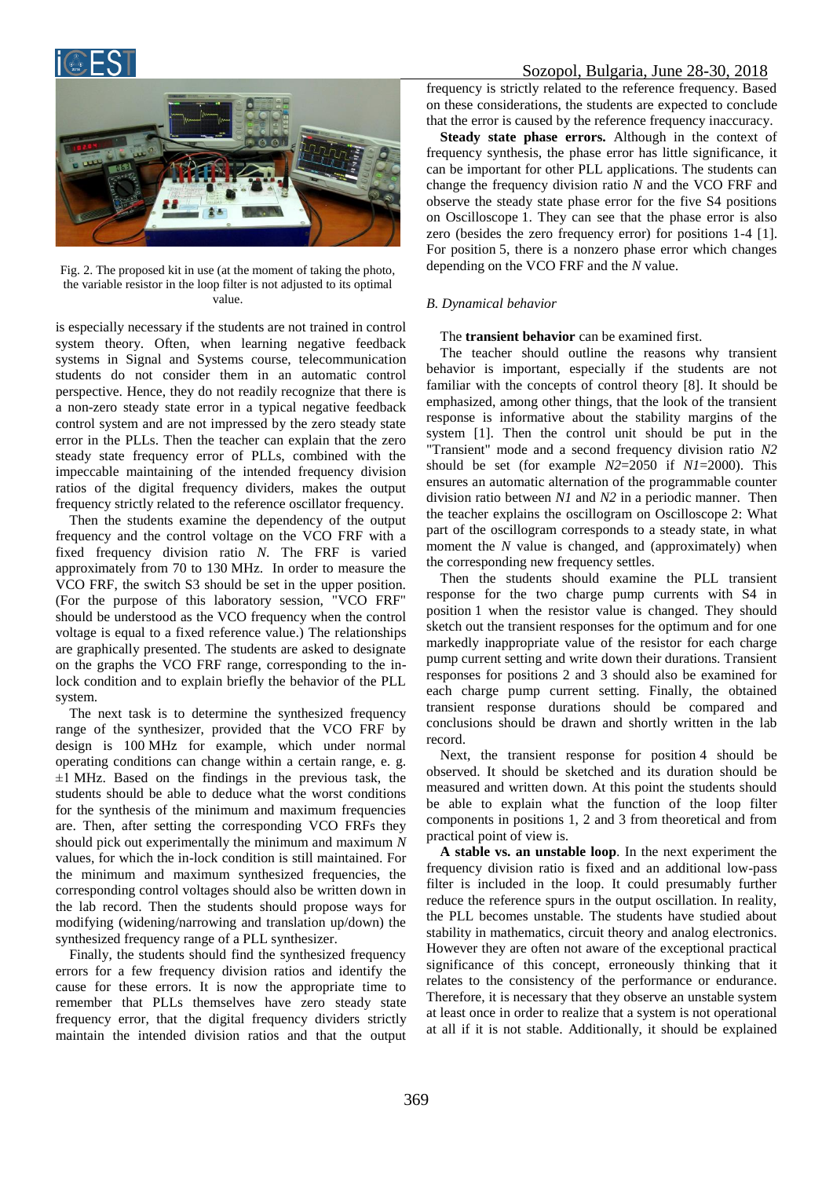

# Sozopol, Bulgaria, June 28-30, 2018



Fig. 2. The proposed kit in use (at the moment of taking the photo, the variable resistor in the loop filter is not adjusted to its optimal value.

is especially necessary if the students are not trained in control system theory. Often, when learning negative feedback systems in Signal and Systems course, telecommunication students do not consider them in an automatic control perspective. Hence, they do not readily recognize that there is a non-zero steady state error in a typical negative feedback control system and are not impressed by the zero steady state error in the PLLs. Then the teacher can explain that the zero steady state frequency error of PLLs, combined with the impeccable maintaining of the intended frequency division ratios of the digital frequency dividers, makes the output frequency strictly related to the reference oscillator frequency.

Then the students examine the dependency of the output frequency and the control voltage on the VCO FRF with a fixed frequency division ratio *N*. The FRF is varied approximately from 70 to 130 MHz. In order to measure the VCO FRF, the switch S3 should be set in the upper position. (For the purpose of this laboratory session, "VCO FRF" should be understood as the VCO frequency when the control voltage is equal to a fixed reference value.) The relationships are graphically presented. The students are asked to designate on the graphs the VCO FRF range, corresponding to the inlock condition and to explain briefly the behavior of the PLL system.

The next task is to determine the synthesized frequency range of the synthesizer, provided that the VCO FRF by design is 100 MHz for example, which under normal operating conditions can change within a certain range, e. g.  $\pm$ 1 MHz. Based on the findings in the previous task, the students should be able to deduce what the worst conditions for the synthesis of the minimum and maximum frequencies are. Then, after setting the corresponding VCO FRFs they should pick out experimentally the minimum and maximum *N* values, for which the in-lock condition is still maintained. For the minimum and maximum synthesized frequencies, the corresponding control voltages should also be written down in the lab record. Then the students should propose ways for modifying (widening/narrowing and translation up/down) the synthesized frequency range of a PLL synthesizer.

Finally, the students should find the synthesized frequency errors for a few frequency division ratios and identify the cause for these errors. It is now the appropriate time to remember that PLLs themselves have zero steady state frequency error, that the digital frequency dividers strictly maintain the intended division ratios and that the output

frequency is strictly related to the reference frequency. Based on these considerations, the students are expected to conclude that the error is caused by the reference frequency inaccuracy.

**Steady state phase errors.** Although in the context of frequency synthesis, the phase error has little significance, it can be important for other PLL applications. The students can change the frequency division ratio *N* and the VCO FRF and observe the steady state phase error for the five S4 positions on Oscilloscope 1. They can see that the phase error is also zero (besides the zero frequency error) for positions 1-4 [\[1\].](#page-3-2) For position 5, there is a nonzero phase error which changes depending on the VCO FRF and the *N* value.

## *B. Dynamical behavior*

### The **transient behavior** can be examined first.

The teacher should outline the reasons why transient behavior is important, especially if the students are not familiar with the concepts of control theory [\[8\].](#page-3-7) It should be emphasized, among other things, that the look of the transient response is informative about the stability margins of the system [\[1\].](#page-3-2) Then the control unit should be put in the "Transient" mode and a second frequency division ratio *N2* should be set (for example *N2*=2050 if *N1*=2000). This ensures an automatic alternation of the programmable counter division ratio between *N1* and *N2* in a periodic manner. Then the teacher explains the oscillogram on Oscilloscope 2: What part of the oscillogram corresponds to a steady state, in what moment the *N* value is changed, and (approximately) when the corresponding new frequency settles.

Then the students should examine the PLL transient response for the two charge pump currents with S4 in position 1 when the resistor value is changed. They should sketch out the transient responses for the optimum and for one markedly inappropriate value of the resistor for each charge pump current setting and write down their durations. Transient responses for positions 2 and 3 should also be examined for each charge pump current setting. Finally, the obtained transient response durations should be compared and conclusions should be drawn and shortly written in the lab record.

Next, the transient response for position 4 should be observed. It should be sketched and its duration should be measured and written down. At this point the students should be able to explain what the function of the loop filter components in positions 1, 2 and 3 from theoretical and from practical point of view is.

**A stable vs. an unstable loop**. In the next experiment the frequency division ratio is fixed and an additional low-pass filter is included in the loop. It could presumably further reduce the reference spurs in the output oscillation. In reality, the PLL becomes unstable. The students have studied about stability in mathematics, circuit theory and analog electronics. However they are often not aware of the exceptional practical significance of this concept, erroneously thinking that it relates to the consistency of the performance or endurance. Therefore, it is necessary that they observe an unstable system at least once in order to realize that a system is not operational at all if it is not stable. Additionally, it should be explained